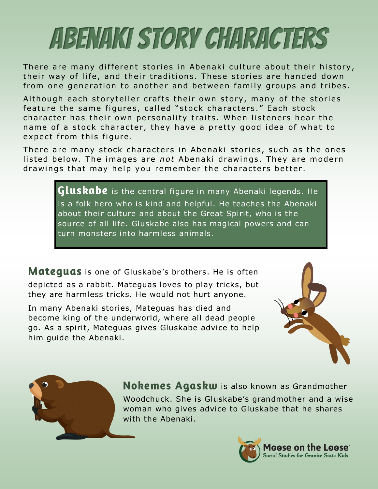## Abenaki Story Characters

There are many different stories in Abenaki culture about their history, their way of life, and their traditions. These stories are handed down from one generation to another and between family groups and tribes.

Although each storyteller crafts their own story, many of the stories feature the same figures, called "stock characters." Each stock character has their own personality traits. When listeners hear the name of a stock character, they have a pretty good idea of what to expect from this figure.

There are many stock characters in Abenaki stories, such as the ones listed below. The images are *not* Abenaki drawings. They are modern drawings that may help you remember the characters better.

> Gluskabe is the central figure in many Abenaki legends. He is a folk hero who is kind and helpful. He teaches the Abenaki about their culture and about the Great Spirit, who is the source of all life. Gluskabe also has magical powers and can turn monsters into harmless animals.

**Mateguas** is one of Gluskabe's brothers. He is often depicted as a rabbit. Mateguas loves to play tricks, but they are harmless tricks. He would not hurt anyone.

In many Abenaki stories, Mateguas has died and become king of the underworld, where all dead people go. As a spirit, Mateguas gives Gluskabe advice to help him guide the Abenaki.





Nokemes Agaskw is also known as Grandmother Woodchuck. She is Gluskabe's grandmother and a wise woman who gives advice to Gluskabe that he shares with the Abenaki.